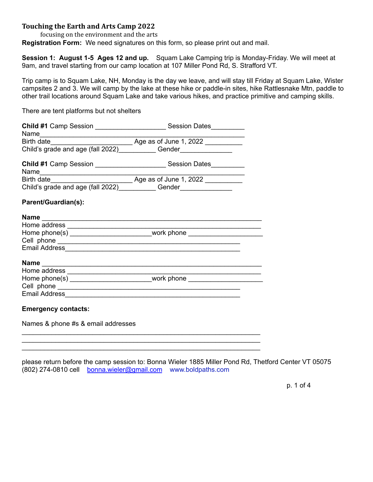## **Touching the Earth and Arts Camp 2022**

focusing on the environment and the arts

**Registration Form:** We need signatures on this form, so please print out and mail.

**Session 1: August 1-5 Ages 12 and up.** Squam Lake Camping trip is Monday-Friday. We will meet at 9am, and travel starting from our camp location at 107 Miller Pond Rd, S. Strafford VT.

Trip camp is to Squam Lake, NH, Monday is the day we leave, and will stay till Friday at Squam Lake, Wister campsites 2 and 3. We will camp by the lake at these hike or paddle-in sites, hike Rattlesnake Mtn, paddle to other trail locations around Squam Lake and take various hikes, and practice primitive and camping skills.

There are tent platforms but not shelters

| Child's grade and age (fall 2022)_____________Gender____________________________ |                                                                                                                                   |  |  |
|----------------------------------------------------------------------------------|-----------------------------------------------------------------------------------------------------------------------------------|--|--|
|                                                                                  |                                                                                                                                   |  |  |
| Name                                                                             |                                                                                                                                   |  |  |
|                                                                                  | Birth date <b>EXECUTE:</b> Birth date <b>EXECUTE:</b> Age as of June 1, 2022 <b>Internal date EXECUTE:</b> Age as of June 1, 2022 |  |  |
| Child's grade and age (fall 2022)______________Gender___________________________ |                                                                                                                                   |  |  |
| Parent/Guardian(s):                                                              |                                                                                                                                   |  |  |
|                                                                                  |                                                                                                                                   |  |  |
| Home address $\frac{1}{1}$                                                       |                                                                                                                                   |  |  |
|                                                                                  | Home phone(s) ___________________________work phone ____________________________                                                  |  |  |
|                                                                                  |                                                                                                                                   |  |  |
|                                                                                  |                                                                                                                                   |  |  |
|                                                                                  |                                                                                                                                   |  |  |
|                                                                                  |                                                                                                                                   |  |  |
|                                                                                  | Home phone(s) ___________________________work phone ____________________________                                                  |  |  |
|                                                                                  |                                                                                                                                   |  |  |
|                                                                                  |                                                                                                                                   |  |  |
|                                                                                  |                                                                                                                                   |  |  |

\_\_\_\_\_\_\_\_\_\_\_\_\_\_\_\_\_\_\_\_\_\_\_\_\_\_\_\_\_\_\_\_\_\_\_\_\_\_\_\_\_\_\_\_\_\_\_\_\_\_\_\_\_\_\_\_\_\_\_\_\_\_\_\_ \_\_\_\_\_\_\_\_\_\_\_\_\_\_\_\_\_\_\_\_\_\_\_\_\_\_\_\_\_\_\_\_\_\_\_\_\_\_\_\_\_\_\_\_\_\_\_\_\_\_\_\_\_\_\_\_\_\_\_\_\_\_\_\_ \_\_\_\_\_\_\_\_\_\_\_\_\_\_\_\_\_\_\_\_\_\_\_\_\_\_\_\_\_\_\_\_\_\_\_\_\_\_\_\_\_\_\_\_\_\_\_\_\_\_\_\_\_\_\_\_\_\_\_\_\_\_\_\_

#### **Emergency contacts:**

Names & phone #s & email addresses

please return before the camp session to: Bonna Wieler 1885 Miller Pond Rd, Thetford Center VT 05075 (802) 274-0810 cell [bonna.wieler@gmail.com](mailto:boldpaths@gmail.com) www.boldpaths.com

p. 1 of 4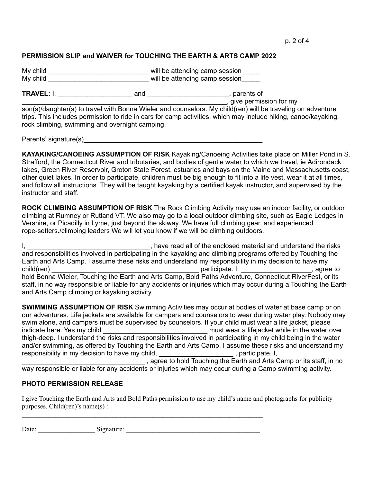### **PERMISSION SLIP and WAIVER for TOUCHING THE EARTH & ARTS CAMP 2022**

My child \_\_\_\_\_\_\_\_\_\_\_\_\_\_\_\_\_\_\_\_\_\_\_\_\_\_\_\_\_\_\_\_\_\_ will be attending camp session\_\_\_\_\_\_ My child **EXECUTE:** Will be attending camp session

**TRAVEL:** I, \_\_\_\_\_\_\_\_\_\_\_\_\_\_\_\_\_\_\_\_ and \_\_\_\_\_\_\_\_\_\_\_\_\_\_\_\_\_\_\_\_\_\_, parents of

\_\_\_\_\_\_\_\_\_\_\_\_\_\_\_\_\_\_\_\_\_\_\_\_\_\_\_\_\_\_\_\_\_\_\_\_\_\_\_\_\_\_\_\_\_\_\_\_\_\_\_\_\_\_\_, give permission for my

son(s)/daughter(s) to travel with Bonna Wieler and counselors. My child(ren) will be traveling on adventure trips. This includes permission to ride in cars for camp activities, which may include hiking, canoe/kayaking, rock climbing, swimming and overnight camping.

Parents' signature(s)

**KAYAKING/CANOEING ASSUMPTION OF RISK** Kayaking/Canoeing Activities take place on Miller Pond in S. Strafford, the Connecticut River and tributaries, and bodies of gentle water to which we travel, ie Adirondack lakes, Green River Reservoir, Groton State Forest, estuaries and bays on the Maine and Massachusetts coast, other quiet lakes. In order to participate, children must be big enough to fit into a life vest, wear it at all times, and follow all instructions. They will be taught kayaking by a certified kayak instructor, and supervised by the instructor and staff.

**ROCK CLIMBING ASSUMPTION OF RISK** The Rock Climbing Activity may use an indoor facility, or outdoor climbing at Rumney or Rutland VT. We also may go to a local outdoor climbing site, such as Eagle Ledges in Vershire, or Picadilly in Lyme, just beyond the skiway. We have full climbing gear, and experienced rope-setters./climbing leaders We will let you know if we will be climbing outdoors.

I, \_\_\_\_\_\_\_\_\_\_\_\_\_\_\_\_\_\_\_\_\_\_\_\_\_\_\_\_\_\_\_\_\_\_\_, have read all of the enclosed material and understand the risks and responsibilities involved in participating in the kayaking and climbing programs offered by Touching the Earth and Arts Camp. I assume these risks and understand my responsibility in my decision to have my child(ren) \_\_\_\_\_\_\_\_\_\_\_\_ \_\_\_\_\_\_\_\_\_\_\_\_\_\_\_\_\_\_\_\_\_\_\_\_\_\_\_ participate. I, \_\_\_\_\_\_\_\_\_\_\_\_\_\_\_\_\_\_\_, agree to hold Bonna Wieler, Touching the Earth and Arts Camp, Bold Paths Adventure, Connecticut RiverFest, or its staff, in no way responsible or liable for any accidents or injuries which may occur during a Touching the Earth and Arts Camp climbing or kayaking activity.

**SWIMMING ASSUMPTION OF RISK** Swimming Activities may occur at bodies of water at base camp or on our adventures. Life jackets are available for campers and counselors to wear during water play. Nobody may swim alone, and campers must be supervised by counselors. If your child must wear a life jacket, please indicate here. Yes my child \_\_\_\_\_\_\_\_\_\_\_\_\_\_\_\_\_\_\_\_\_\_\_\_\_\_\_\_\_\_\_\_\_\_ must wear a lifejacket while in the water over thigh-deep. I understand the risks and responsibilities involved in participating in my child being in the water and/or swimming, as offered by Touching the Earth and Arts Camp. I assume these risks and understand my responsibility in my decision to have my child, The Common Latin Constitution of the U.S. of the U.S.

agree to hold Touching the Earth and Arts Camp or its staff, in no way responsible or liable for any accidents or injuries which may occur during a Camp swimming activity.

#### **PHOTO PERMISSION RELEASE**

I give Touching the Earth and Arts and Bold Paths permission to use my child's name and photographs for publicity purposes. Child(ren)'s name(s) :

Date: Signature:

 $\mathcal{L}_\text{max} = \frac{1}{2} \sum_{i=1}^n \mathcal{L}_\text{max} = \frac{1}{2} \sum_{i=1}^n \mathcal{L}_\text{max} = \frac{1}{2} \sum_{i=1}^n \mathcal{L}_\text{max} = \frac{1}{2} \sum_{i=1}^n \mathcal{L}_\text{max} = \frac{1}{2} \sum_{i=1}^n \mathcal{L}_\text{max} = \frac{1}{2} \sum_{i=1}^n \mathcal{L}_\text{max} = \frac{1}{2} \sum_{i=1}^n \mathcal{L}_\text{max} = \frac{1}{2} \sum_{i=$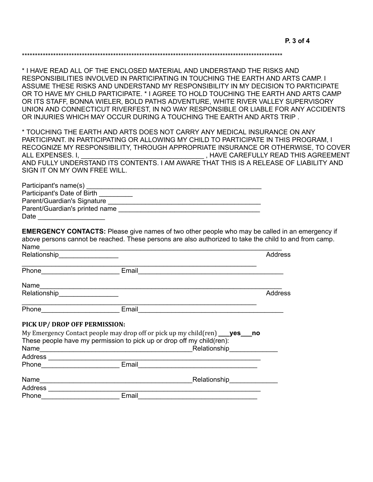\*\*\*\*\*\*\*\*\*\*\*\*\*\*\*\*\*\*\*\*\*\*\*\*\*\*\*\*\*\*\*\*\*\*\*\*\*\*\*\*\*\*\*\*\*\*\*\*\*\*\*\*\*\*\*\*\*\*\*\*\*\*\*\*\*\*\*\*\*\*\*\*\*\*\*\*\*\*\*\*\*\*\*\*\*\*\*\*\*\*\*\*\*\*\*\*\*\*\*\*

\* I HAVE READ ALL OF THE ENCLOSED MATERIAL AND UNDERSTAND THE RISKS AND RESPONSIBILITIES INVOLVED IN PARTICIPATING IN TOUCHING THE EARTH AND ARTS CAMP. I ASSUME THESE RISKS AND UNDERSTAND MY RESPONSIBILITY IN MY DECISION TO PARTICIPATE OR TO HAVE MY CHILD PARTICIPATE. \* I AGREE TO HOLD TOUCHING THE EARTH AND ARTS CAMP OR ITS STAFF, BONNA WIELER, BOLD PATHS ADVENTURE, WHITE RIVER VALLEY SUPERVISORY UNION AND CONNECTICUT RIVERFEST, IN NO WAY RESPONSIBLE OR LIABLE FOR ANY ACCIDENTS OR INJURIES WHICH MAY OCCUR DURING A TOUCHING THE EARTH AND ARTS TRIP .

\* TOUCHING THE EARTH AND ARTS DOES NOT CARRY ANY MEDICAL INSURANCE ON ANY PARTICIPANT. IN PARTICIPATING OR ALLOWING MY CHILD TO PARTICIPATE IN THIS PROGRAM, I RECOGNIZE MY RESPONSIBILITY, THROUGH APPROPRIATE INSURANCE OR OTHERWISE, TO COVER ALL EXPENSES. I. THAVE CAREFULLY READ THIS AGREEMENT AND FULLY UNDERSTAND ITS CONTENTS. I AM AWARE THAT THIS IS A RELEASE OF LIABILITY AND SIGN IT ON MY OWN FREE WILL.

| Participant's name(s)          |  |
|--------------------------------|--|
| Participant's Date of Birth    |  |
| Parent/Guardian's Signature    |  |
| Parent/Guardian's printed name |  |
| Date                           |  |

**EMERGENCY CONTACTS:** Please give names of two other people who may be called in an emergency if above persons cannot be reached. These persons are also authorized to take the child to and from camp. Name\_\_\_\_\_\_\_\_\_\_\_\_\_\_\_\_\_\_\_\_\_\_\_\_\_\_\_\_\_\_\_\_\_\_\_\_\_\_\_\_\_\_\_\_\_\_\_\_\_\_\_\_\_\_\_\_\_\_\_\_\_\_\_\_\_

| Relationship Relationship                                                                                                                                                                                                      |                                                                                                                                                                                            | <b>Address</b> |
|--------------------------------------------------------------------------------------------------------------------------------------------------------------------------------------------------------------------------------|--------------------------------------------------------------------------------------------------------------------------------------------------------------------------------------------|----------------|
|                                                                                                                                                                                                                                | Email                                                                                                                                                                                      |                |
|                                                                                                                                                                                                                                |                                                                                                                                                                                            |                |
| Relationship__________________                                                                                                                                                                                                 |                                                                                                                                                                                            | Address        |
| Phone expression and the state of the state of the state of the state of the state of the state of the state of the state of the state of the state of the state of the state of the state of the state of the state of the st | Email                                                                                                                                                                                      |                |
| PICK UP/ DROP OFF PERMISSION:                                                                                                                                                                                                  |                                                                                                                                                                                            |                |
|                                                                                                                                                                                                                                | My Emergency Contact people may drop off or pick up my child(ren) ___ yes___ no<br>These people have my permission to pick up or drop off my child(ren):<br>Relationship <b>Example 20</b> |                |
|                                                                                                                                                                                                                                |                                                                                                                                                                                            |                |
|                                                                                                                                                                                                                                | Email                                                                                                                                                                                      |                |
| Name                                                                                                                                                                                                                           | Relationship<br><u>Letter</u>                                                                                                                                                              |                |
| Address _______________________                                                                                                                                                                                                |                                                                                                                                                                                            |                |
| Phone                                                                                                                                                                                                                          | Email                                                                                                                                                                                      |                |